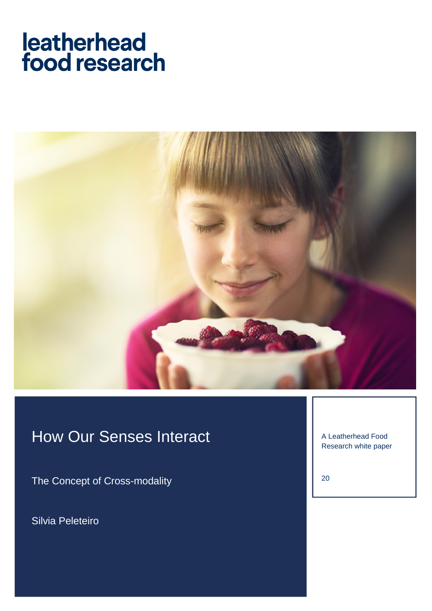# leatherhead food research



# How Our Senses Interact

The Concept of Cross-modality

Silvia Peleteiro

A Leatherhead Food Research white paper

20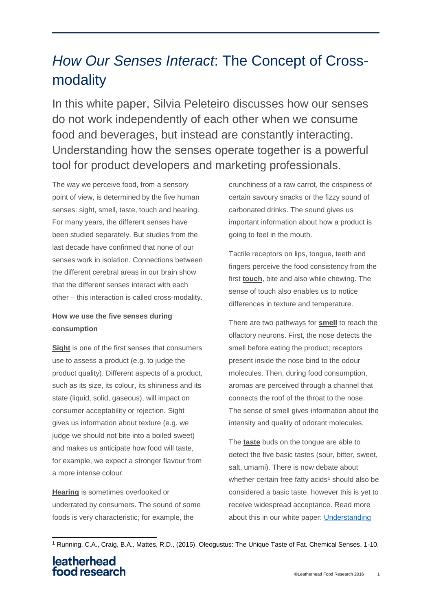## *How Our Senses Interact*: The Concept of Crossmodality

In this white paper, Silvia Peleteiro discusses how our senses do not work independently of each other when we consume food and beverages, but instead are constantly interacting. Understanding how the senses operate together is a powerful tool for product developers and marketing professionals.

The way we perceive food, from a sensory point of view, is determined by the five human senses: sight, smell, taste, touch and hearing. For many years, the different senses have been studied separately. But studies from the last decade have confirmed that none of our senses work in isolation. Connections between the different cerebral areas in our brain show that the different senses interact with each other – this interaction is called cross-modality.

### **How we use the five senses during consumption**

**Sight** is one of the first senses that consumers use to assess a product (e.g. to judge the product quality). Different aspects of a product, such as its size, its colour, its shininess and its state (liquid, solid, gaseous), will impact on consumer acceptability or rejection. Sight gives us information about texture (e.g. we judge we should not bite into a boiled sweet) and makes us anticipate how food will taste, for example, we expect a stronger flavour from a more intense colour.

**Hearing** is sometimes overlooked or underrated by consumers. The sound of some foods is very characteristic; for example, the

crunchiness of a raw carrot, the crispiness of certain savoury snacks or the fizzy sound of carbonated drinks. The sound gives us important information about how a product is going to feel in the mouth.

Tactile receptors on lips, tongue, teeth and fingers perceive the food consistency from the first **touch**, bite and also while chewing. The sense of touch also enables us to notice differences in texture and temperature.

There are two pathways for **smell** to reach the olfactory neurons. First, the nose detects the smell before eating the product; receptors present inside the nose bind to the odour molecules. Then, during food consumption, aromas are perceived through a channel that connects the roof of the throat to the nose. The sense of smell gives information about the intensity and quality of odorant molecules.

The **taste** buds on the tongue are able to detect the five basic tastes (sour, bitter, sweet, salt, umami). There is now debate about whether certain free fatty acids<sup>1</sup> should also be considered a basic taste, however this is yet to receive widespread acceptance. Read more about this in our white paper: [Understanding](https://www.leatherheadfood.com/understanding-sensory-perception-fat) 

<sup>-</sup><sup>1</sup> Running, C.A., Craig, B.A., Mattes, R.D., (2015). Oleogustus: The Unique Taste of Fat. Chemical Senses, 1-10.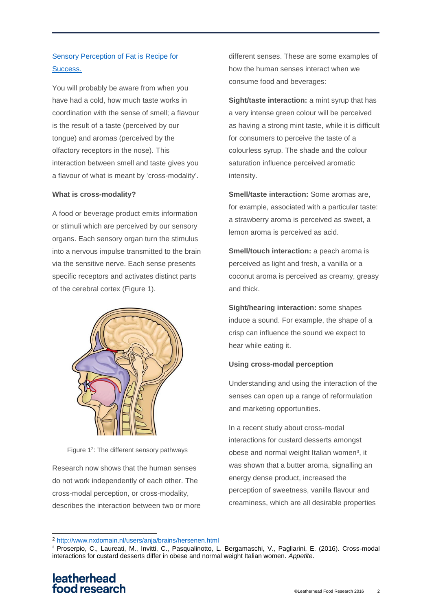### [Sensory Perception of Fat](https://www.leatherheadfood.com/understanding-sensory-perception-fat) is Recipe for [Success.](https://www.leatherheadfood.com/understanding-sensory-perception-fat)

You will probably be aware from when you have had a cold, how much taste works in coordination with the sense of smell; a flavour is the result of a taste (perceived by our tongue) and aromas (perceived by the olfactory receptors in the nose). This interaction between smell and taste gives you a flavour of what is meant by 'cross-modality'.

#### **What is cross-modality?**

A food or beverage product emits information or stimuli which are perceived by our sensory organs. Each sensory organ turn the stimulus into a nervous impulse transmitted to the brain via the sensitive nerve. Each sense presents specific receptors and activates distinct parts of the cerebral cortex (Figure 1).



Figure 1<sup>2</sup>: The different sensory pathways

Research now shows that the human senses do not work independently of each other. The cross-modal perception, or cross-modality, describes the interaction between two or more different senses. These are some examples of how the human senses interact when we consume food and beverages:

**Sight/taste interaction:** a mint syrup that has a very intense green colour will be perceived as having a strong mint taste, while it is difficult for consumers to perceive the taste of a colourless syrup. The shade and the colour saturation influence perceived aromatic intensity.

**Smell/taste interaction:** Some aromas are, for example, associated with a particular taste: a strawberry aroma is perceived as sweet, a lemon aroma is perceived as acid.

**Smell/touch interaction:** a peach aroma is perceived as light and fresh, a vanilla or a coconut aroma is perceived as creamy, greasy and thick.

**Sight/hearing interaction:** some shapes induce a sound. For example, the shape of a crisp can influence the sound we expect to hear while eating it.

#### **Using cross-modal perception**

Understanding and using the interaction of the senses can open up a range of reformulation and marketing opportunities.

In a recent study about cross-modal interactions for custard desserts amongst obese and normal weight Italian women<sup>3</sup>, it was shown that a butter aroma, signalling an energy dense product, increased the perception of sweetness, vanilla flavour and creaminess, which are all desirable properties

-

<sup>2</sup> <http://www.nxdomain.nl/users/anja/brains/hersenen.html>

<sup>3</sup> Proserpio, C., Laureati, M., Invitti, C., Pasqualinotto, L. Bergamaschi, V., Pagliarini, E. (2016). Cross-modal interactions for custard desserts differ in obese and normal weight Italian women. *Appetite*.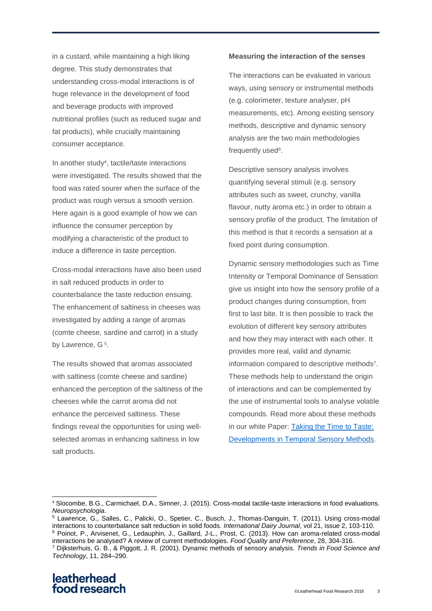in a custard, while maintaining a high liking degree. This study demonstrates that understanding cross-modal interactions is of huge relevance in the development of food and beverage products with improved nutritional profiles (such as reduced sugar and fat products), while crucially maintaining consumer acceptance.

In another study<sup>4</sup>, tactile/taste interactions were investigated. The results showed that the food was rated sourer when the surface of the product was rough versus a smooth version. Here again is a good example of how we can influence the consumer perception by modifying a characteristic of the product to induce a difference in taste perception.

Cross-modal interactions have also been used in salt reduced products in order to counterbalance the taste reduction ensuing. The enhancement of saltiness in cheeses was investigated by adding a range of aromas (comte cheese, sardine and carrot) in a study by Lawrence, G<sup>5</sup>.

The results showed that aromas associated with saltiness (comte cheese and sardine) enhanced the perception of the saltiness of the cheeses while the carrot aroma did not enhance the perceived saltiness. These findings reveal the opportunities for using wellselected aromas in enhancing saltiness in low salt products.

#### **Measuring the interaction of the senses**

The interactions can be evaluated in various ways, using sensory or instrumental methods (e.g. colorimeter, texture analyser, pH measurements, etc). Among existing sensory methods, descriptive and dynamic sensory analysis are the two main methodologies frequently used<sup>6</sup>.

Descriptive sensory analysis involves quantifying several stimuli (e.g. sensory attributes such as sweet, crunchy, vanilla flavour, nutty aroma etc.) in order to obtain a sensory profile of the product. The limitation of this method is that it records a sensation at a fixed point during consumption.

Dynamic sensory methodologies such as Time Intensity or Temporal Dominance of Sensation give us insight into how the sensory profile of a product changes during consumption, from first to last bite. It is then possible to track the evolution of different key sensory attributes and how they may interact with each other. It provides more real, valid and dynamic information compared to descriptive methods<sup>7</sup>. These methods help to understand the origin of interactions and can be complemented by the use of instrumental tools to analyse volatile compounds. Read more about these methods in our white Paper: [Taking the Time to Taste:](https://www.leatherheadfood.com/taking-time-taste-developments-temporal-sensory-methods)  [Developments in Temporal Sensory Methods.](https://www.leatherheadfood.com/taking-time-taste-developments-temporal-sensory-methods)

interactions be analysed? A review of current methodologies. *Food Quality and Preference*, 28, 304-316.

 $\overline{a}$ 

<sup>4</sup> Slocombe, B.G., Carmichael, D.A., Simner, J. (2015). Cross-modal tactile-taste interactions in food evaluations. *Neuropsychologia.*

<sup>5</sup> Lawrence, G., Salles, C., Palicki, O., Spetier, C., Busch, J., Thomas-Danguin, T. (2011). Using cross-modal interactions to counterbalance salt reduction in solid foods. *International Dairy Journal*, vol 21, issue 2, 103-110. <sup>6</sup> Poinot, P., Arvisenet, G., Ledauphin, J., Gaillard, J-L., Prost, C. (2013). How can aroma-related cross-modal

<sup>7</sup> Dijksterhuis, G. B., & Piggott, J. R. (2001). Dynamic methods of sensory analysis. *Trends in Food Science and Technology*, 11, 284–290.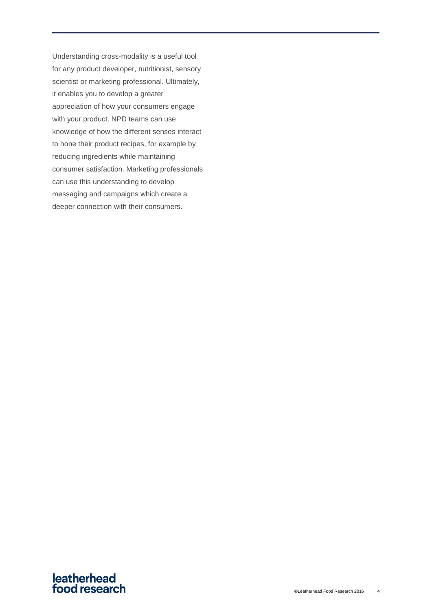Understanding cross-modality is a useful tool for any product developer, nutritionist, sensory scientist or marketing professional. Ultimately, it enables you to develop a greater appreciation of how your consumers engage with your product. NPD teams can use knowledge of how the different senses interact to hone their product recipes, for example by reducing ingredients while maintaining consumer satisfaction. Marketing professionals can use this understanding to develop messaging and campaigns which create a deeper connection with their consumers.

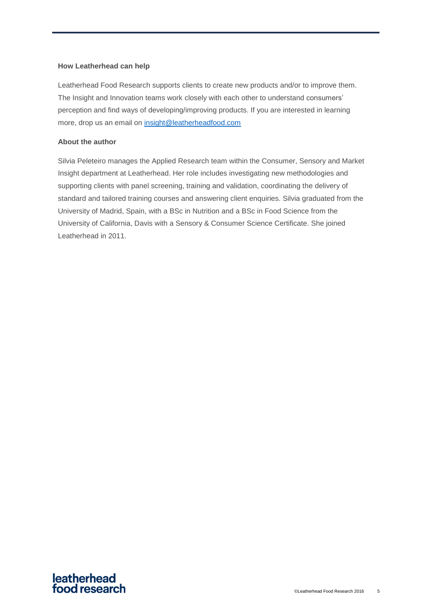#### **How Leatherhead can help**

Leatherhead Food Research supports clients to create new products and/or to improve them. The Insight and Innovation teams work closely with each other to understand consumers' perception and find ways of developing/improving products. If you are interested in learning more, drop us an email on [insight@leatherheadfood.com](mailto:insight@leatherheadfood.com)

#### **About the author**

Silvia Peleteiro manages the Applied Research team within the Consumer, Sensory and Market Insight department at Leatherhead. Her role includes investigating new methodologies and supporting clients with panel screening, training and validation, coordinating the delivery of standard and tailored training courses and answering client enquiries. Silvia graduated from the University of Madrid, Spain, with a BSc in Nutrition and a BSc in Food Science from the University of California, Davis with a Sensory & Consumer Science Certificate. She joined Leatherhead in 2011.